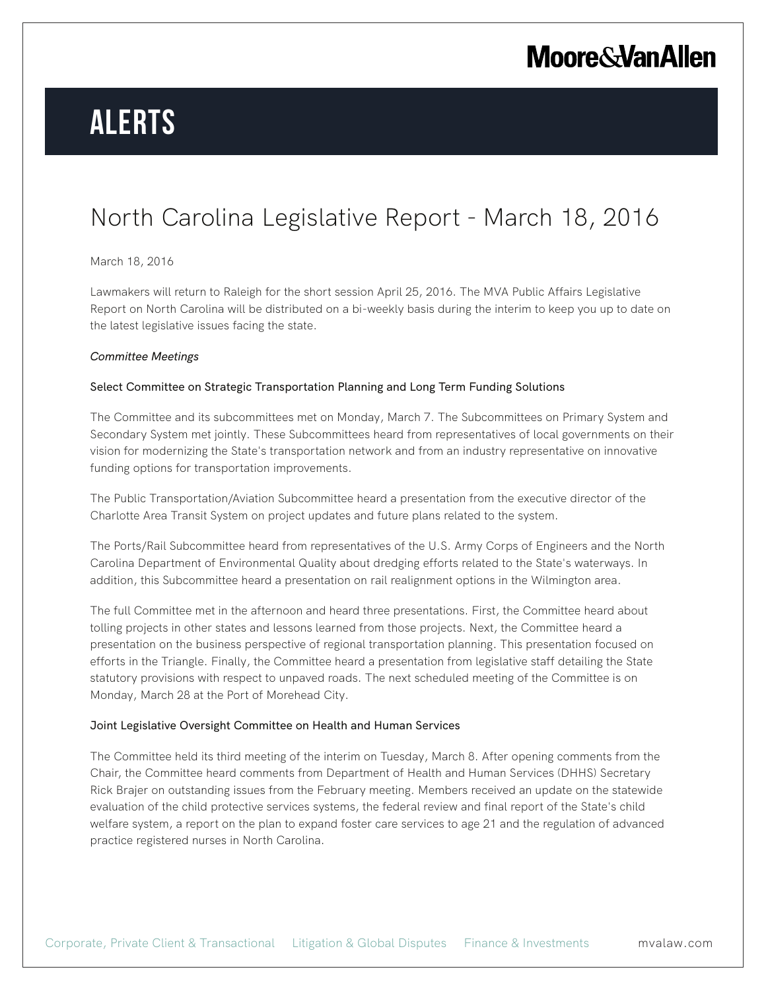# **Alerts**

### North Carolina Legislative Report - March 18, 2016

#### March 18, 2016

Lawmakers will return to Raleigh for the short session April 25, 2016. The MVA Public Affairs Legislative Report on North Carolina will be distributed on a bi-weekly basis during the interim to keep you up to date on the latest legislative issues facing the state.

#### *Committee Meetings*

#### Select Committee on Strategic Transportation Planning and Long Term Funding Solutions

The Committee and its subcommittees met on Monday, March 7. The Subcommittees on Primary System and Secondary System met jointly. These Subcommittees heard from representatives of local governments on their vision for modernizing the State's transportation network and from an industry representative on innovative funding options for transportation improvements.

The Public Transportation/Aviation Subcommittee heard a presentation from the executive director of the Charlotte Area Transit System on project updates and future plans related to the system.

The Ports/Rail Subcommittee heard from representatives of the U.S. Army Corps of Engineers and the North Carolina Department of Environmental Quality about dredging efforts related to the State's waterways. In addition, this Subcommittee heard a presentation on rail realignment options in the Wilmington area.

The full Committee met in the afternoon and heard three presentations. First, the Committee heard about tolling projects in other states and lessons learned from those projects. Next, the Committee heard a presentation on the business perspective of regional transportation planning. This presentation focused on efforts in the Triangle. Finally, the Committee heard a presentation from legislative staff detailing the State statutory provisions with respect to unpaved roads. The next scheduled meeting of the Committee is on Monday, March 28 at the Port of Morehead City.

#### Joint Legislative Oversight Committee on Health and Human Services

The Committee held its third meeting of the interim on Tuesday, March 8. After opening comments from the Chair, the Committee heard comments from Department of Health and Human Services (DHHS) Secretary Rick Brajer on outstanding issues from the February meeting. Members received an update on the statewide evaluation of the child protective services systems, the federal review and final report of the State's child welfare system, a report on the plan to expand foster care services to age 21 and the regulation of advanced practice registered nurses in North Carolina.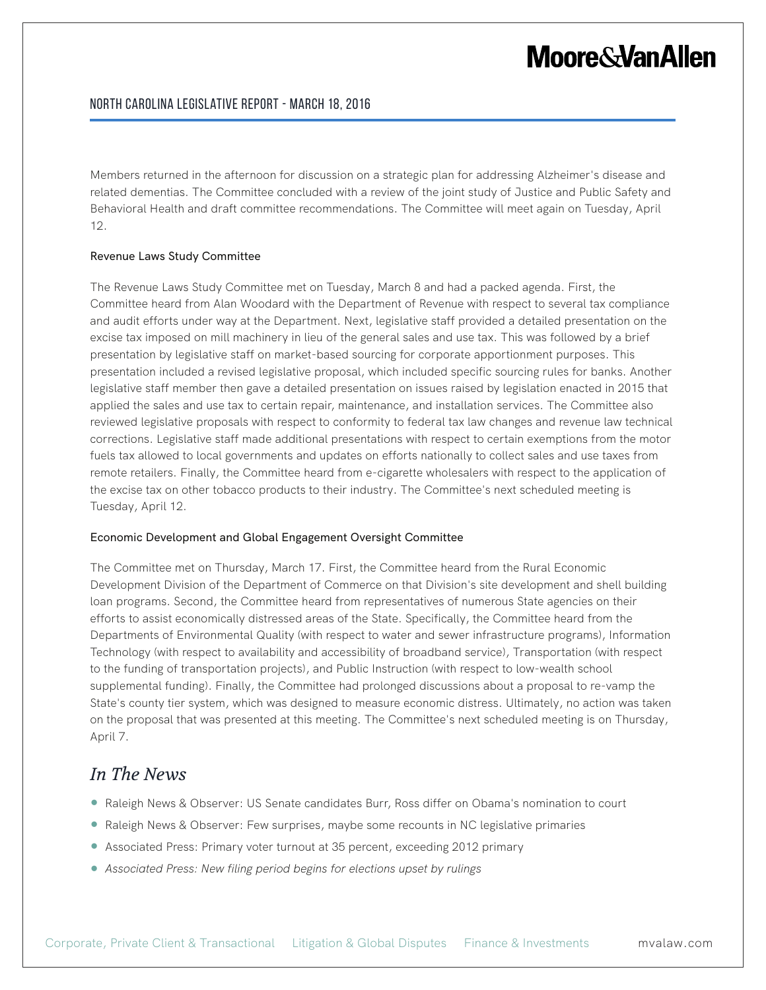Members returned in the afternoon for discussion on a strategic plan for addressing Alzheimer's disease and related dementias. The Committee concluded with a review of the joint study of Justice and Public Safety and Behavioral Health and draft committee recommendations. The Committee will meet again on Tuesday, April 12.

#### Revenue Laws Study Committee

The Revenue Laws Study Committee met on Tuesday, March 8 and had a packed agenda. First, the Committee heard from Alan Woodard with the Department of Revenue with respect to several tax compliance and audit efforts under way at the Department. Next, legislative staff provided a detailed presentation on the excise tax imposed on mill machinery in lieu of the general sales and use tax. This was followed by a brief presentation by legislative staff on market-based sourcing for corporate apportionment purposes. This presentation included a revised legislative proposal, which included specific sourcing rules for banks. Another legislative staff member then gave a detailed presentation on issues raised by legislation enacted in 2015 that applied the sales and use tax to certain repair, maintenance, and installation services. The Committee also reviewed legislative proposals with respect to conformity to federal tax law changes and revenue law technical corrections. Legislative staff made additional presentations with respect to certain exemptions from the motor fuels tax allowed to local governments and updates on efforts nationally to collect sales and use taxes from remote retailers. Finally, the Committee heard from e-cigarette wholesalers with respect to the application of the excise tax on other tobacco products to their industry. The Committee's next scheduled meeting is Tuesday, April 12.

#### Economic Development and Global Engagement Oversight Committee

The Committee met on Thursday, March 17. First, the Committee heard from the Rural Economic Development Division of the Department of Commerce on that Division's site development and shell building loan programs. Second, the Committee heard from representatives of numerous State agencies on their efforts to assist economically distressed areas of the State. Specifically, the Committee heard from the Departments of Environmental Quality (with respect to water and sewer infrastructure programs), Information Technology (with respect to availability and accessibility of broadband service), Transportation (with respect to the funding of transportation projects), and Public Instruction (with respect to low-wealth school supplemental funding). Finally, the Committee had prolonged discussions about a proposal to re-vamp the State's county tier system, which was designed to measure economic distress. Ultimately, no action was taken on the proposal that was presented at this meeting. The Committee's next scheduled meeting is on Thursday, April 7.

### *In The News*

- Raleigh News & Observer: US Senate candidates Burr, Ross differ on Obama's nomination to court
- Raleigh News & Observer: Few surprises, maybe some recounts in NC legislative primaries
- Associated Press: Primary voter turnout at 35 percent, exceeding 2012 primary
- *Associated Press: New filing period begins for elections upset by rulings*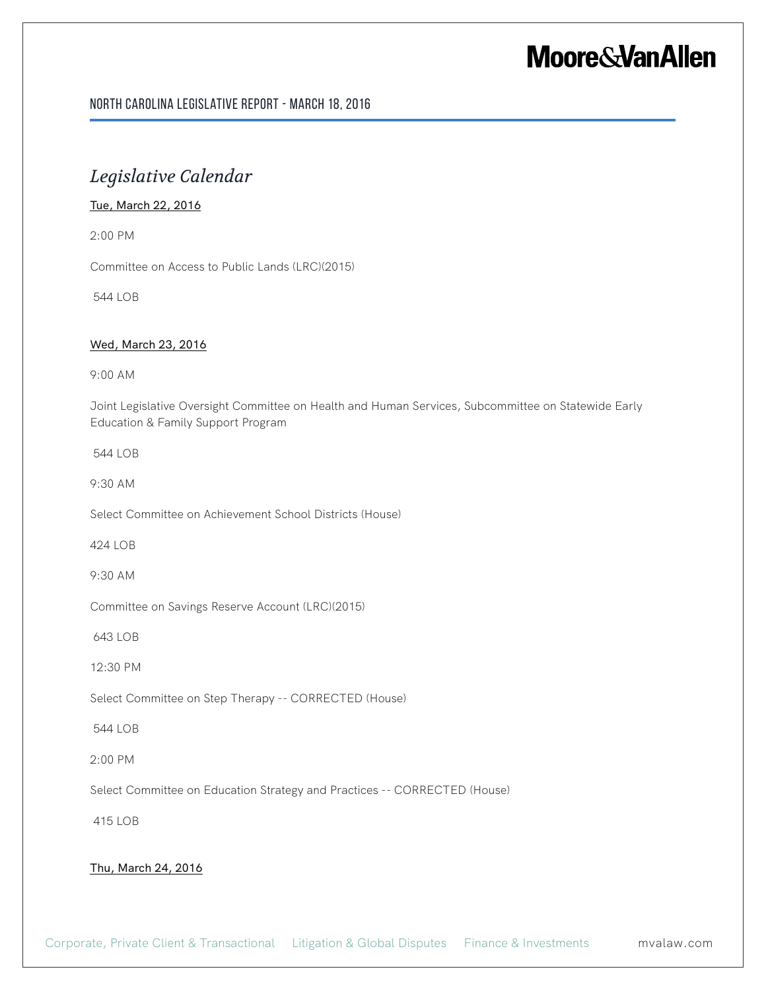#### North Carolina Legislative Report - March 18, 2016

### *Legislative Calendar*

#### Tue, March 22, 2016

2:00 PM

Committee on Access to Public Lands (LRC)(2015)

544 LOB

#### Wed, March 23, 2016

9:00 AM

Joint Legislative Oversight Committee on Health and Human Services, Subcommittee on Statewide Early Education & Family Support Program

544 LOB

9:30 AM

Select Committee on Achievement School Districts (House)

424 LOB

9:30 AM

Committee on Savings Reserve Account (LRC)(2015)

643 LOB

12:30 PM

Select Committee on Step Therapy -- CORRECTED (House)

544 LOB

2:00 PM

Select Committee on Education Strategy and Practices -- CORRECTED (House)

415 LOB

#### Thu, March 24, 2016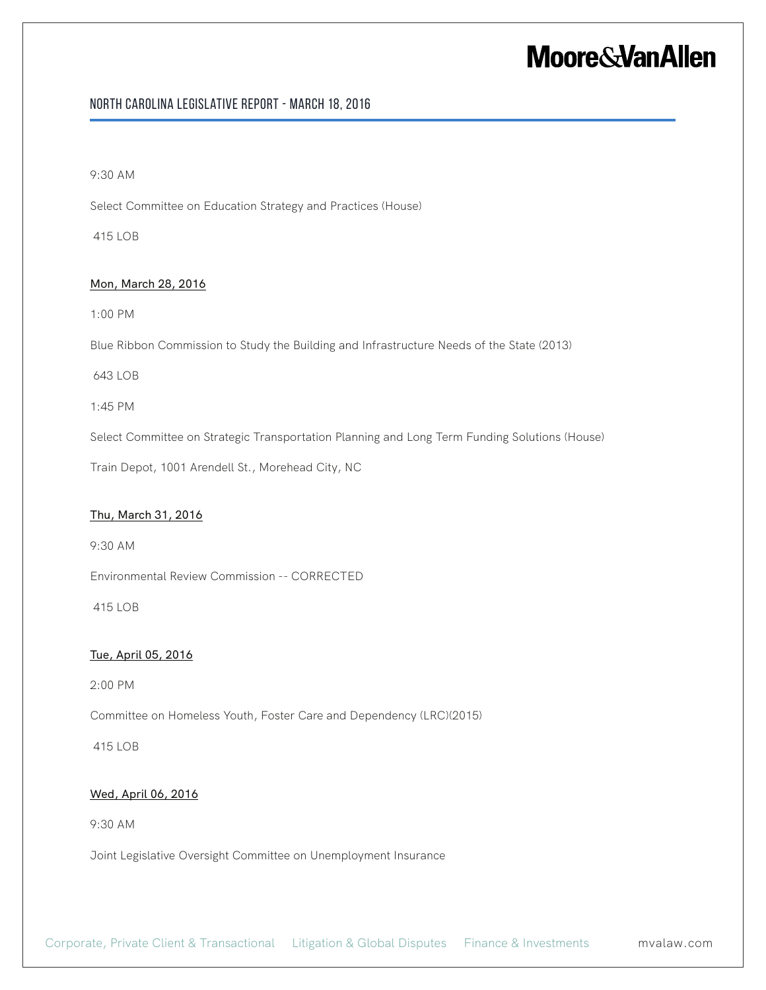#### North Carolina Legislative Report - March 18, 2016

#### 9:30 AM

Select Committee on Education Strategy and Practices (House)

415 LOB

#### Mon, March 28, 2016

1:00 PM

Blue Ribbon Commission to Study the Building and Infrastructure Needs of the State (2013)

643 LOB

1:45 PM

Select Committee on Strategic Transportation Planning and Long Term Funding Solutions (House)

Train Depot, 1001 Arendell St., Morehead City, NC

#### Thu, March 31, 2016

9:30 AM

Environmental Review Commission -- CORRECTED

415 LOB

#### Tue, April 05, 2016

2:00 PM

Committee on Homeless Youth, Foster Care and Dependency (LRC)(2015)

415 LOB

#### Wed, April 06, 2016

9:30 AM

Joint Legislative Oversight Committee on Unemployment Insurance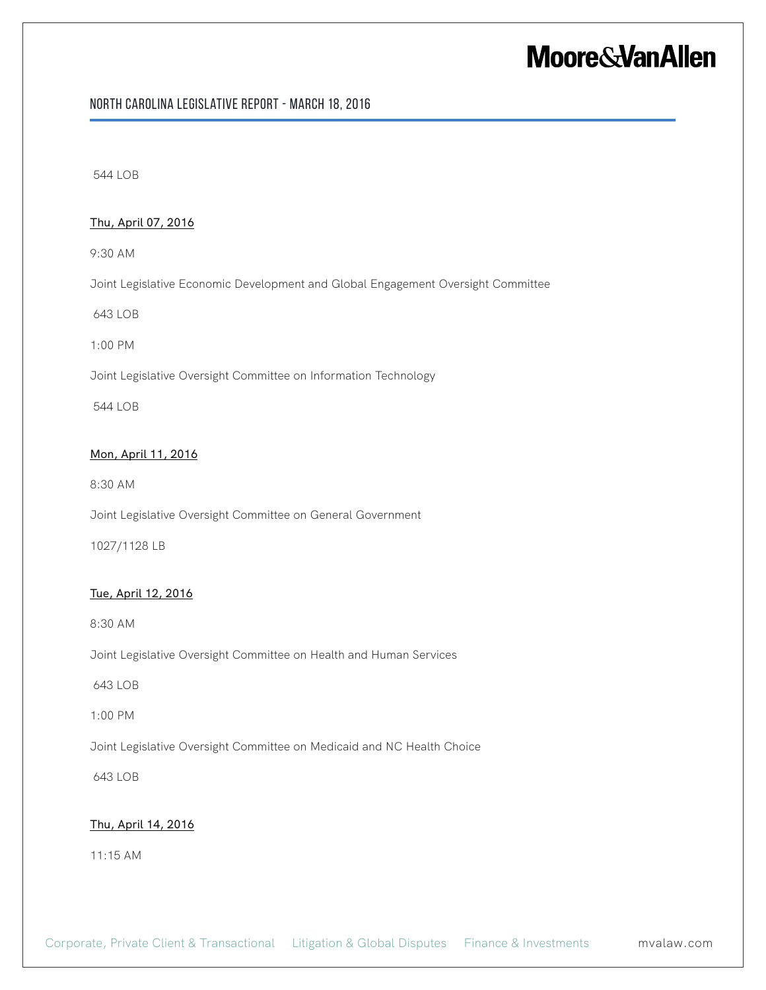#### North Carolina Legislative Report - March 18, 2016

544 LOB

#### Thu, April 07, 2016

9:30 AM

Joint Legislative Economic Development and Global Engagement Oversight Committee

643 LOB

1:00 PM

Joint Legislative Oversight Committee on Information Technology

544 LOB

#### Mon, April 11, 2016

8:30 AM

Joint Legislative Oversight Committee on General Government

1027/1128 LB

#### Tue, April 12, 2016

8:30 AM

Joint Legislative Oversight Committee on Health and Human Services

643 LOB

1:00 PM

Joint Legislative Oversight Committee on Medicaid and NC Health Choice

643 LOB

#### Thu, April 14, 2016

11:15 AM